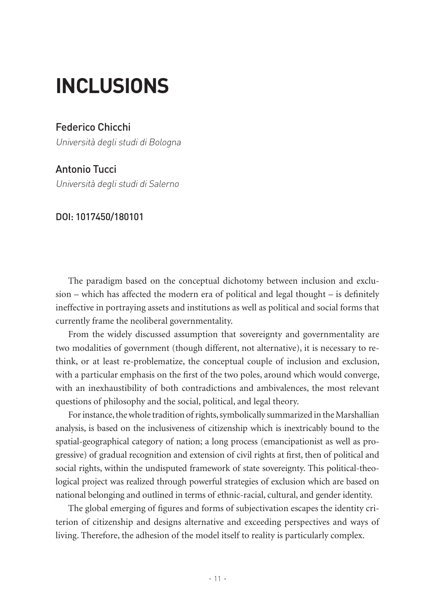## **INCLUSIONS**

## Federico Chicchi

Università degli studi di Bologna

## Antonio Tucci

Università degli studi di Salerno

## DOI: 1017450/180101

The paradigm based on the conceptual dichotomy between inclusion and exclusion – which has affected the modern era of political and legal thought – is definitely ineffective in portraying assets and institutions as well as political and social forms that currently frame the neoliberal governmentality.

From the widely discussed assumption that sovereignty and governmentality are two modalities of government (though different, not alternative), it is necessary to rethink, or at least re-problematize, the conceptual couple of inclusion and exclusion, with a particular emphasis on the first of the two poles, around which would converge, with an inexhaustibility of both contradictions and ambivalences, the most relevant questions of philosophy and the social, political, and legal theory.

For instance, the whole tradition of rights, symbolically summarized in the Marshallian analysis, is based on the inclusiveness of citizenship which is inextricably bound to the spatial-geographical category of nation; a long process (emancipationist as well as progressive) of gradual recognition and extension of civil rights at first, then of political and social rights, within the undisputed framework of state sovereignty. This political-theological project was realized through powerful strategies of exclusion which are based on national belonging and outlined in terms of ethnic-racial, cultural, and gender identity.

The global emerging of figures and forms of subjectivation escapes the identity criterion of citizenship and designs alternative and exceeding perspectives and ways of living. Therefore, the adhesion of the model itself to reality is particularly complex.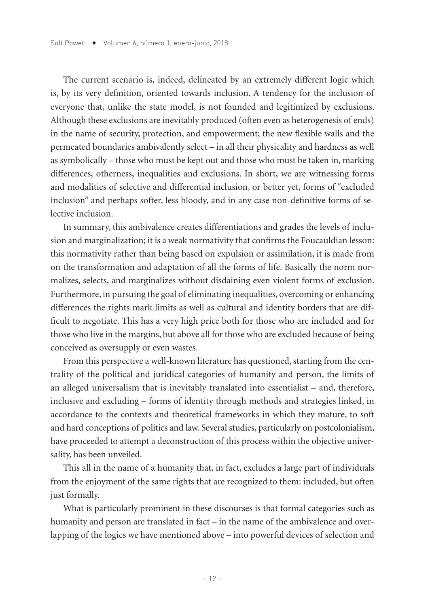The current scenario is, indeed, delineated by an extremely different logic which is, by its very definition, oriented towards inclusion. A tendency for the inclusion of everyone that, unlike the state model, is not founded and legitimized by exclusions. Although these exclusions are inevitably produced (often even as heterogenesis of ends) in the name of security, protection, and empowerment; the new flexible walls and the permeated boundaries ambivalently select – in all their physicality and hardness as well as symbolically – those who must be kept out and those who must be taken in, marking differences, otherness, inequalities and exclusions. In short, we are witnessing forms and modalities of selective and differential inclusion, or better yet, forms of "excluded inclusion" and perhaps softer, less bloody, and in any case non-definitive forms of selective inclusion.

In summary, this ambivalence creates differentiations and grades the levels of inclusion and marginalization; it is a weak normativity that confirms the Foucauldian lesson: this normativity rather than being based on expulsion or assimilation, it is made from on the transformation and adaptation of all the forms of life. Basically the norm normalizes, selects, and marginalizes without disdaining even violent forms of exclusion. Furthermore, in pursuing the goal of eliminating inequalities, overcoming or enhancing differences the rights mark limits as well as cultural and identity borders that are difficult to negotiate. This has a very high price both for those who are included and for those who live in the margins, but above all for those who are excluded because of being conceived as oversupply or even wastes.

From this perspective a well-known literature has questioned, starting from the centrality of the political and juridical categories of humanity and person, the limits of an alleged universalism that is inevitably translated into essentialist – and, therefore, inclusive and excluding – forms of identity through methods and strategies linked, in accordance to the contexts and theoretical frameworks in which they mature, to soft and hard conceptions of politics and law. Several studies, particularly on postcolonialism, have proceeded to attempt a deconstruction of this process within the objective universality, has been unveiled.

This all in the name of a humanity that, in fact, excludes a large part of individuals from the enjoyment of the same rights that are recognized to them: included, but often just formally.

What is particularly prominent in these discourses is that formal categories such as humanity and person are translated in fact – in the name of the ambivalence and overlapping of the logics we have mentioned above – into powerful devices of selection and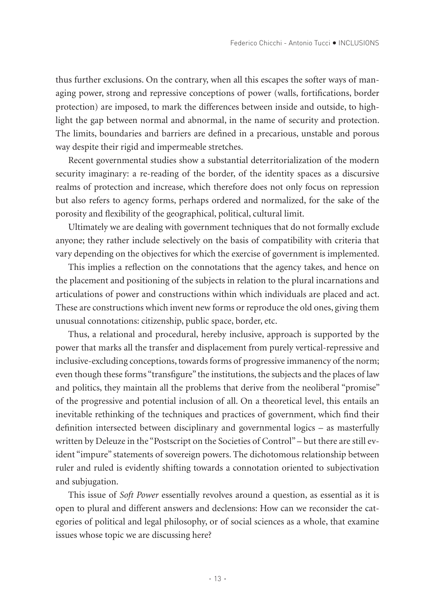thus further exclusions. On the contrary, when all this escapes the softer ways of managing power, strong and repressive conceptions of power (walls, fortifications, border protection) are imposed, to mark the differences between inside and outside, to highlight the gap between normal and abnormal, in the name of security and protection. The limits, boundaries and barriers are defined in a precarious, unstable and porous way despite their rigid and impermeable stretches.

Recent governmental studies show a substantial deterritorialization of the modern security imaginary: a re-reading of the border, of the identity spaces as a discursive realms of protection and increase, which therefore does not only focus on repression but also refers to agency forms, perhaps ordered and normalized, for the sake of the porosity and flexibility of the geographical, political, cultural limit.

Ultimately we are dealing with government techniques that do not formally exclude anyone; they rather include selectively on the basis of compatibility with criteria that vary depending on the objectives for which the exercise of government is implemented.

This implies a reflection on the connotations that the agency takes, and hence on the placement and positioning of the subjects in relation to the plural incarnations and articulations of power and constructions within which individuals are placed and act. These are constructions which invent new forms or reproduce the old ones, giving them unusual connotations: citizenship, public space, border, etc.

Thus, a relational and procedural, hereby inclusive, approach is supported by the power that marks all the transfer and displacement from purely vertical-repressive and inclusive-excluding conceptions, towards forms of progressive immanency of the norm; even though these forms "transfigure" the institutions, the subjects and the places of law and politics, they maintain all the problems that derive from the neoliberal "promise" of the progressive and potential inclusion of all. On a theoretical level, this entails an inevitable rethinking of the techniques and practices of government, which find their definition intersected between disciplinary and governmental logics – as masterfully written by Deleuze in the "Postscript on the Societies of Control" – but there are still evident "impure" statements of sovereign powers. The dichotomous relationship between ruler and ruled is evidently shifting towards a connotation oriented to subjectivation and subjugation.

This issue of *Soft Power* essentially revolves around a question, as essential as it is open to plural and different answers and declensions: How can we reconsider the categories of political and legal philosophy, or of social sciences as a whole, that examine issues whose topic we are discussing here?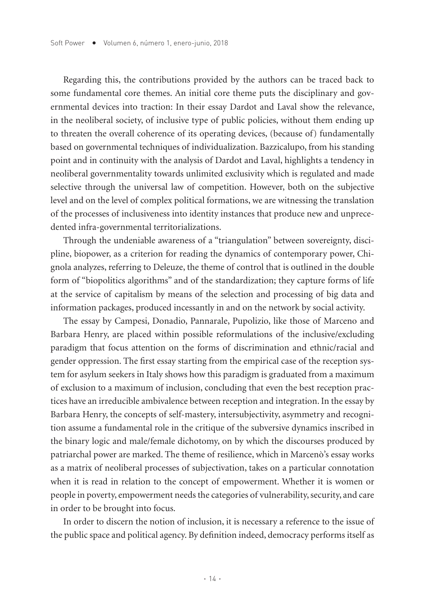Regarding this, the contributions provided by the authors can be traced back to some fundamental core themes. An initial core theme puts the disciplinary and governmental devices into traction: In their essay Dardot and Laval show the relevance, in the neoliberal society, of inclusive type of public policies, without them ending up to threaten the overall coherence of its operating devices, (because of) fundamentally based on governmental techniques of individualization. Bazzicalupo, from his standing point and in continuity with the analysis of Dardot and Laval, highlights a tendency in neoliberal governmentality towards unlimited exclusivity which is regulated and made selective through the universal law of competition. However, both on the subjective level and on the level of complex political formations, we are witnessing the translation of the processes of inclusiveness into identity instances that produce new and unprecedented infra-governmental territorializations.

Through the undeniable awareness of a "triangulation" between sovereignty, discipline, biopower, as a criterion for reading the dynamics of contemporary power, Chignola analyzes, referring to Deleuze, the theme of control that is outlined in the double form of "biopolitics algorithms" and of the standardization; they capture forms of life at the service of capitalism by means of the selection and processing of big data and information packages, produced incessantly in and on the network by social activity.

The essay by Campesi, Donadio, Pannarale, Pupolizio, like those of Marceno and Barbara Henry, are placed within possible reformulations of the inclusive/excluding paradigm that focus attention on the forms of discrimination and ethnic/racial and gender oppression. The first essay starting from the empirical case of the reception system for asylum seekers in Italy shows how this paradigm is graduated from a maximum of exclusion to a maximum of inclusion, concluding that even the best reception practices have an irreducible ambivalence between reception and integration. In the essay by Barbara Henry, the concepts of self-mastery, intersubjectivity, asymmetry and recognition assume a fundamental role in the critique of the subversive dynamics inscribed in the binary logic and male/female dichotomy, on by which the discourses produced by patriarchal power are marked. The theme of resilience, which in Marcenò's essay works as a matrix of neoliberal processes of subjectivation, takes on a particular connotation when it is read in relation to the concept of empowerment. Whether it is women or people in poverty, empowerment needs the categories of vulnerability, security, and care in order to be brought into focus.

In order to discern the notion of inclusion, it is necessary a reference to the issue of the public space and political agency. By definition indeed, democracy performs itself as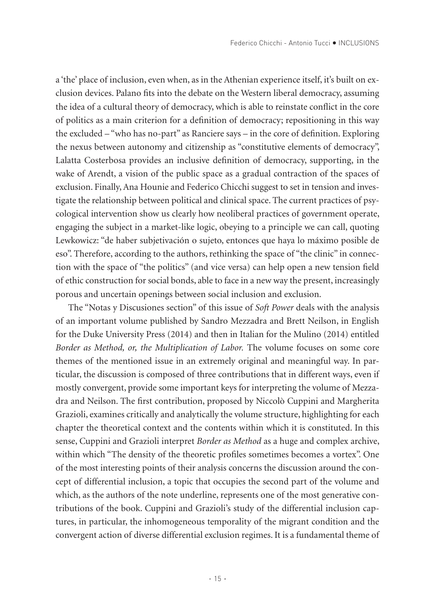a 'the' place of inclusion, even when, as in the Athenian experience itself, it's built on exclusion devices. Palano fits into the debate on the Western liberal democracy, assuming the idea of a cultural theory of democracy, which is able to reinstate conflict in the core of politics as a main criterion for a definition of democracy; repositioning in this way the excluded – "who has no-part" as Ranciere says – in the core of definition. Exploring the nexus between autonomy and citizenship as "constitutive elements of democracy", Lalatta Costerbosa provides an inclusive definition of democracy, supporting, in the wake of Arendt, a vision of the public space as a gradual contraction of the spaces of exclusion. Finally, Ana Hounie and Federico Chicchi suggest to set in tension and investigate the relationship between political and clinical space. The current practices of psycological intervention show us clearly how neoliberal practices of government operate, engaging the subject in a market-like logic, obeying to a principle we can call, quoting Lewkowicz: "de haber subjetivación o sujeto, entonces que haya lo máximo posible de eso". Therefore, according to the authors, rethinking the space of "the clinic" in connection with the space of "the politics" (and vice versa) can help open a new tension field of ethic construction for social bonds, able to face in a new way the present, increasingly porous and uncertain openings between social inclusion and exclusion.

The "Notas y Discusiones section" of this issue of *Soft Power* deals with the analysis of an important volume published by Sandro Mezzadra and Brett Neilson, in English for the Duke University Press (2014) and then in Italian for the Mulino (2014) entitled *Border as Method, or, the Multiplication of Labor.* The volume focuses on some core themes of the mentioned issue in an extremely original and meaningful way. In particular, the discussion is composed of three contributions that in different ways, even if mostly convergent, provide some important keys for interpreting the volume of Mezzadra and Neilson. The first contribution, proposed by Niccolò Cuppini and Margherita Grazioli, examines critically and analytically the volume structure, highlighting for each chapter the theoretical context and the contents within which it is constituted. In this sense, Cuppini and Grazioli interpret *Border as Method* as a huge and complex archive, within which "The density of the theoretic profiles sometimes becomes a vortex". One of the most interesting points of their analysis concerns the discussion around the concept of differential inclusion, a topic that occupies the second part of the volume and which, as the authors of the note underline, represents one of the most generative contributions of the book. Cuppini and Grazioli's study of the differential inclusion captures, in particular, the inhomogeneous temporality of the migrant condition and the convergent action of diverse differential exclusion regimes. It is a fundamental theme of